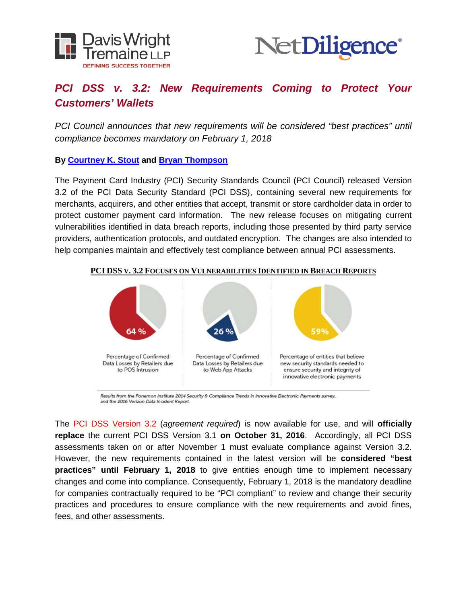



# *PCI DSS v. 3.2: New Requirements Coming to Protect Your Customers' Wallets*

*PCI Council announces that new requirements will be considered "best practices" until compliance becomes mandatory on February 1, 2018*

**By [Courtney K. Stout](http://www.dwt.com/people/courtneykstout/) and [Bryan Thompson](http://www.privsecblog.com/our-team/)**

The Payment Card Industry (PCI) Security Standards Council (PCI Council) released Version 3.2 of the PCI Data Security Standard (PCI DSS), containing several new requirements for merchants, acquirers, and other entities that accept, transmit or store cardholder data in order to protect customer payment card information. The new release focuses on mitigating current vulnerabilities identified in data breach reports, including those presented by third party service providers, authentication protocols, and outdated encryption. The changes are also intended to help companies maintain and effectively test compliance between annual PCI assessments.



#### **PCI DSS V. 3.2 FOCUSES ON VULNERABILITIES IDENTIFIED IN BREACH REPORTS**

Results from the Ponemon Institute 2014 Security & Compliance Trends in Innovative Electronic Payments survey, and the 2016 Verizon Data Incident Report.

The [PCI DSS Version 3.2](https://www.pcisecuritystandards.org/document_library?category=pcidss&document=pci_dss) (*agreement required*) is now available for use, and will **officially replace** the current PCI DSS Version 3.1 **on October 31, 2016**. Accordingly, all PCI DSS assessments taken on or after November 1 must evaluate compliance against Version 3.2. However, the new requirements contained in the latest version will be **considered "best practices" until February 1, 2018** to give entities enough time to implement necessary changes and come into compliance. Consequently, February 1, 2018 is the mandatory deadline for companies contractually required to be "PCI compliant" to review and change their security practices and procedures to ensure compliance with the new requirements and avoid fines, fees, and other assessments.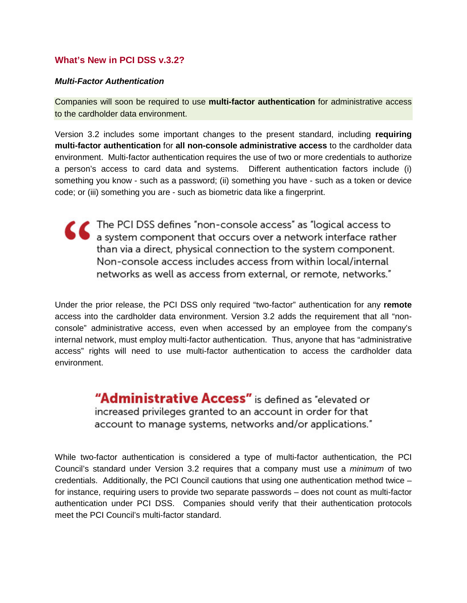### **What's New in PCI DSS v.3.2?**

### *Multi-Factor Authentication*

Companies will soon be required to use **multi-factor authentication** for administrative access to the cardholder data environment.

Version 3.2 includes some important changes to the present standard, including **requiring multi-factor authentication** for **all non-console administrative access** to the cardholder data environment. Multi-factor authentication requires the use of two or more credentials to authorize a person's access to card data and systems. Different authentication factors include (i) something you know - such as a password; (ii) something you have - such as a token or device code; or (iii) something you are - such as biometric data like a fingerprint.

The PCI DSS defines "non-console access" as "logical access to<br>
a system component that occurs over a network interface rather than via a direct, physical connection to the system component. Non-console access includes access from within local/internal networks as well as access from external, or remote, networks."

Under the prior release, the PCI DSS only required "two-factor" authentication for any **remote** access into the cardholder data environment. Version 3.2 adds the requirement that all "nonconsole" administrative access, even when accessed by an employee from the company's internal network, must employ multi-factor authentication. Thus, anyone that has "administrative access" rights will need to use multi-factor authentication to access the cardholder data environment.

> "Administrative Access" is defined as "elevated or increased privileges granted to an account in order for that account to manage systems, networks and/or applications."

While two-factor authentication is considered a type of multi-factor authentication, the PCI Council's standard under Version 3.2 requires that a company must use a *minimum* of two credentials. Additionally, the PCI Council cautions that using one authentication method twice – for instance, requiring users to provide two separate passwords – does not count as multi-factor authentication under PCI DSS. Companies should verify that their authentication protocols meet the PCI Council's multi-factor standard.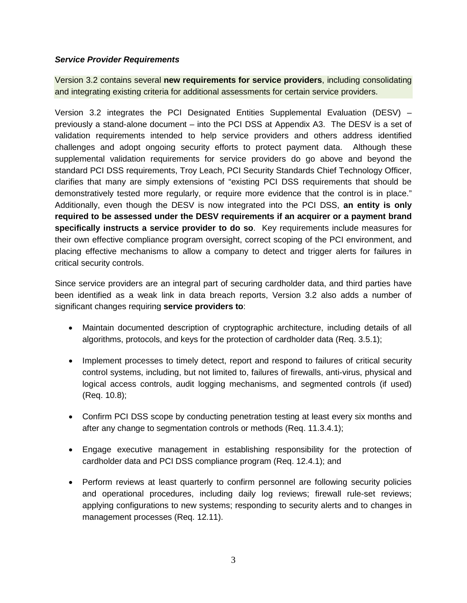### *Service Provider Requirements*

Version 3.2 contains several **new requirements for service providers**, including consolidating and integrating existing criteria for additional assessments for certain service providers.

Version 3.2 integrates the PCI Designated Entities Supplemental Evaluation (DESV) – previously a stand-alone document – into the PCI DSS at Appendix A3. The DESV is a set of validation requirements intended to help service providers and others address identified challenges and adopt ongoing security efforts to protect payment data. Although these supplemental validation requirements for service providers do go above and beyond the standard PCI DSS requirements, Troy Leach, PCI Security Standards Chief Technology Officer, clarifies that many are simply extensions of "existing PCI DSS requirements that should be demonstratively tested more regularly, or require more evidence that the control is in place." Additionally, even though the DESV is now integrated into the PCI DSS, **an entity is only required to be assessed under the DESV requirements if an acquirer or a payment brand specifically instructs a service provider to do so**. Key requirements include measures for their own effective compliance program oversight, correct scoping of the PCI environment, and placing effective mechanisms to allow a company to detect and trigger alerts for failures in critical security controls.

Since service providers are an integral part of securing cardholder data, and third parties have been identified as a weak link in data breach reports, Version 3.2 also adds a number of significant changes requiring **service providers to**:

- Maintain documented description of cryptographic architecture, including details of all algorithms, protocols, and keys for the protection of cardholder data (Req. 3.5.1);
- Implement processes to timely detect, report and respond to failures of critical security control systems, including, but not limited to, failures of firewalls, anti-virus, physical and logical access controls, audit logging mechanisms, and segmented controls (if used) (Req. 10.8);
- Confirm PCI DSS scope by conducting penetration testing at least every six months and after any change to segmentation controls or methods (Req. 11.3.4.1);
- Engage executive management in establishing responsibility for the protection of cardholder data and PCI DSS compliance program (Req. 12.4.1); and
- Perform reviews at least quarterly to confirm personnel are following security policies and operational procedures, including daily log reviews; firewall rule-set reviews; applying configurations to new systems; responding to security alerts and to changes in management processes (Req. 12.11).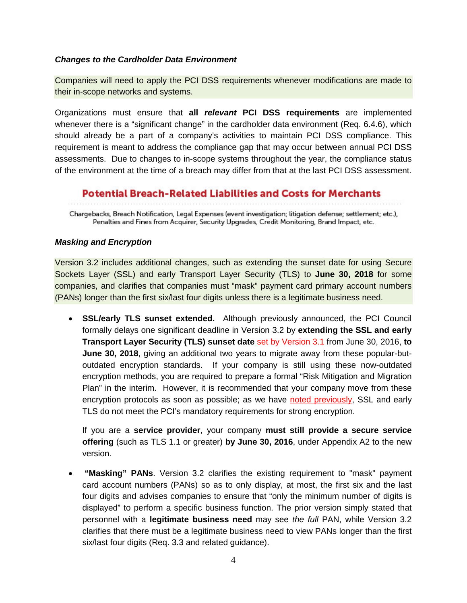### *Changes to the Cardholder Data Environment*

Companies will need to apply the PCI DSS requirements whenever modifications are made to their in-scope networks and systems.

Organizations must ensure that **all** *relevant* **PCI DSS requirements** are implemented whenever there is a "significant change" in the cardholder data environment (Req. 6.4.6), which should already be a part of a company's activities to maintain PCI DSS compliance. This requirement is meant to address the compliance gap that may occur between annual PCI DSS assessments. Due to changes to in-scope systems throughout the year, the compliance status of the environment at the time of a breach may differ from that at the last PCI DSS assessment.

## **Potential Breach-Related Liabilities and Costs for Merchants**

Chargebacks, Breach Notification, Legal Expenses (event investigation; litigation defense; settlement; etc.), Penalties and Fines from Acquirer, Security Upgrades, Credit Monitoring, Brand Impact, etc.

### *Masking and Encryption*

Version 3.2 includes additional changes, such as extending the sunset date for using Secure Sockets Layer (SSL) and early Transport Layer Security (TLS) to **June 30, 2018** for some companies, and clarifies that companies must "mask" payment card primary account numbers (PANs) longer than the first six/last four digits unless there is a legitimate business need.

• **SSL/early TLS sunset extended.** Although previously announced, the PCI Council formally delays one significant deadline in Version 3.2 by **extending the SSL and early Transport Layer Security (TLS) sunset date** [set by Version 3.1](http://www.privsecblog.com/2015/04/articles/financial-services/legal-departments-new-pci-dss-requirements-mandatory-in-june/) from June 30, 2016, **to June 30, 2018**, giving an additional two years to migrate away from these popular-butoutdated encryption standards. If your company is still using these now-outdated encryption methods, you are required to prepare a formal "Risk Mitigation and Migration Plan" in the interim. However, it is recommended that your company move from these encryption protocols as soon as possible; as we have [noted previously,](http://www.privsecblog.com/2015/04/articles/financial-services/legal-departments-new-pci-dss-requirements-mandatory-in-june/) SSL and early TLS do not meet the PCI's mandatory requirements for strong encryption.

If you are a **service provider**, your company **must still provide a secure service offering** (such as TLS 1.1 or greater) **by June 30, 2016**, under Appendix A2 to the new version.

• **"Masking" PANs**. Version 3.2 clarifies the existing requirement to "mask" payment card account numbers (PANs) so as to only display, at most, the first six and the last four digits and advises companies to ensure that "only the minimum number of digits is displayed" to perform a specific business function. The prior version simply stated that personnel with a **legitimate business need** may see *the full* PAN, while Version 3.2 clarifies that there must be a legitimate business need to view PANs longer than the first six/last four digits (Req. 3.3 and related guidance).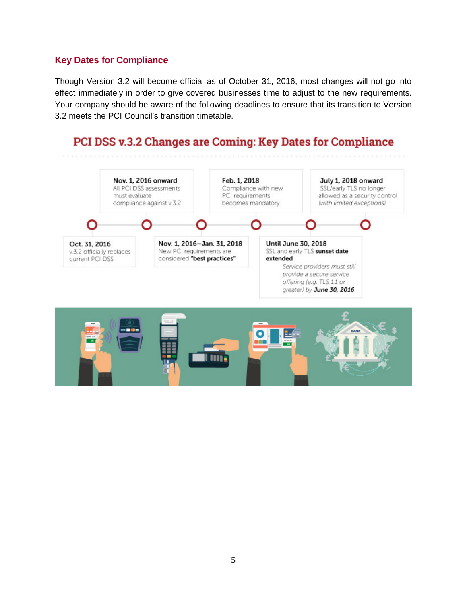## **Key Dates for Compliance**

Though Version 3.2 will become official as of October 31, 2016, most changes will not go into effect immediately in order to give covered businesses time to adjust to the new requirements. Your company should be aware of the following deadlines to ensure that its transition to Version 3.2 meets the PCI Council's transition timetable.

# PCI DSS v.3.2 Changes are Coming: Key Dates for Compliance